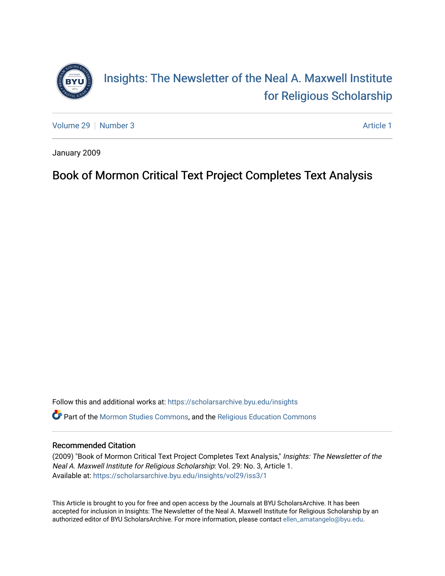

[Volume 29](https://scholarsarchive.byu.edu/insights/vol29) [Number 3](https://scholarsarchive.byu.edu/insights/vol29/iss3) Article 1

January 2009

# Book of Mormon Critical Text Project Completes Text Analysis

Follow this and additional works at: [https://scholarsarchive.byu.edu/insights](https://scholarsarchive.byu.edu/insights?utm_source=scholarsarchive.byu.edu%2Finsights%2Fvol29%2Fiss3%2F1&utm_medium=PDF&utm_campaign=PDFCoverPages)  Part of the [Mormon Studies Commons](https://network.bepress.com/hgg/discipline/1360?utm_source=scholarsarchive.byu.edu%2Finsights%2Fvol29%2Fiss3%2F1&utm_medium=PDF&utm_campaign=PDFCoverPages), and the [Religious Education Commons](https://network.bepress.com/hgg/discipline/1414?utm_source=scholarsarchive.byu.edu%2Finsights%2Fvol29%2Fiss3%2F1&utm_medium=PDF&utm_campaign=PDFCoverPages) 

## Recommended Citation

(2009) "Book of Mormon Critical Text Project Completes Text Analysis," Insights: The Newsletter of the Neal A. Maxwell Institute for Religious Scholarship: Vol. 29: No. 3, Article 1. Available at: [https://scholarsarchive.byu.edu/insights/vol29/iss3/1](https://scholarsarchive.byu.edu/insights/vol29/iss3/1?utm_source=scholarsarchive.byu.edu%2Finsights%2Fvol29%2Fiss3%2F1&utm_medium=PDF&utm_campaign=PDFCoverPages) 

This Article is brought to you for free and open access by the Journals at BYU ScholarsArchive. It has been accepted for inclusion in Insights: The Newsletter of the Neal A. Maxwell Institute for Religious Scholarship by an authorized editor of BYU ScholarsArchive. For more information, please contact [ellen\\_amatangelo@byu.edu.](mailto:ellen_amatangelo@byu.edu)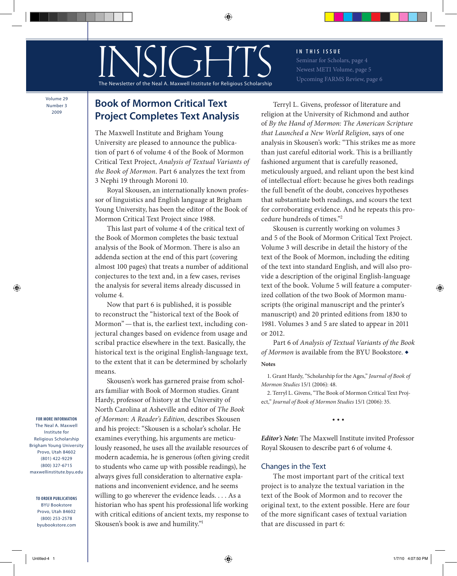**I N T H I S I S S U E**  Seminar for Scholars, page 4

Newest METI Volume, page 5 Upcoming FARMS Review, page 6

Volume 29 Number 3 2009

# **Book of Mormon Critical Text Project Completes Text Analysis**

INSIGE FRAME

sletter of the Neal A. Maxwell Institute for Religious Scholarship

⊕

The Maxwell Institute and Brigham Young University are pleased to announce the publication of part 6 of volume 4 of the Book of Mormon Critical Text Project, *Analysis of Textual Variants of the Book of Mormon*. Part 6 analyzes the text from 3 Nephi 19 through Moroni 10.

Royal Skousen, an internationally known professor of linguistics and English language at Brigham Young University, has been the editor of the Book of Mormon Critical Text Project since 1988.

This last part of volume 4 of the critical text of the Book of Mormon completes the basic textual analysis of the Book of Mormon. There is also an addenda section at the end of this part (covering almost 100 pages) that treats a number of additional conjectures to the text and, in a few cases, revises the analysis for several items already discussed in volume 4.

Now that part 6 is published, it is possible to reconstruct the "historical text of the Book of Mormon"—that is, the earliest text, including conjectural changes based on evidence from usage and scribal practice elsewhere in the text. Basically, the historical text is the original English-language text, to the extent that it can be determined by scholarly means.

Skousen's work has garnered praise from scholars familiar with Book of Mormon studies. Grant Hardy, professor of history at the University of North Carolina at Asheville and editor of *The Book of Mormon: A Reader's Edition,* describes Skousen and his project: "Skousen is a scholar's scholar. He examines everything, his arguments are meticulously reasoned, he uses all the available resources of modern academia, he is generous (often giving credit to students who came up with possible readings), he always gives full consideration to alternative explanations and inconvenient evidence, and he seems willing to go wherever the evidence leads. . . . As a historian who has spent his professional life working with critical editions of ancient texts, my response to Skousen's book is awe and humility."1

Terryl L. Givens, professor of literature and religion at the University of Richmond and author of *By the Hand of Mormon: The American Scripture that Launched a New World Religion*, says of one analysis in Skousen's work: "This strikes me as more than just careful editorial work. This is a brilliantly fashioned argument that is carefully reasoned, meticulously argued, and reliant upon the best kind of intellectual effort: because he gives both readings the full benefit of the doubt, conceives hypotheses that substantiate both readings, and scours the text for corroborating evidence. And he repeats this procedure hundreds of times."2

Skousen is currently working on volumes 3 and 5 of the Book of Mormon Critical Text Project. Volume 3 will describe in detail the history of the text of the Book of Mormon, including the editing of the text into standard English, and will also provide a description of the original English-language text of the book. Volume 5 will feature a computerized collation of the two Book of Mormon manuscripts (the original manuscript and the printer's manuscript) and 20 printed editions from 1830 to 1981. Volumes 3 and 5 are slated to appear in 2011 or 2012.

Part 6 of *Analysis of Textual Variants of the Book of Mormon* is available from the BYU Bookstore. ◆

#### **Notes**

1. Grant Hardy, "Scholarship for the Ages," *Journal of Book of Mormon Studies* 15/1 (2006): 48.

2. Terryl L. Givens, "The Book of Mormon Critical Text Project," *Journal of Book of Mormon Studies* 15/1 (2006): 35.

• • •

*Editor's Note:* The Maxwell Institute invited Professor Royal Skousen to describe part 6 of volume 4.

## Changes in the Text

The most important part of the critical text project is to analyze the textual variation in the text of the Book of Mormon and to recover the original text, to the extent possible. Here are four of the more significant cases of textual variation that are discussed in part 6:

**FOR MORE INFORMATION** The Neal A. Maxwell Institute for Religious Scholarship Brigham Young University Provo, Utah 84602 (801) 422-9229 (800) 327-6715 maxwellinstitute.byu.edu

⊕

**TO ORDER PUBLICATIONS** BYU Bookstore Provo, Utah 84602 (800) 253-2578 byubookstore.com

⊕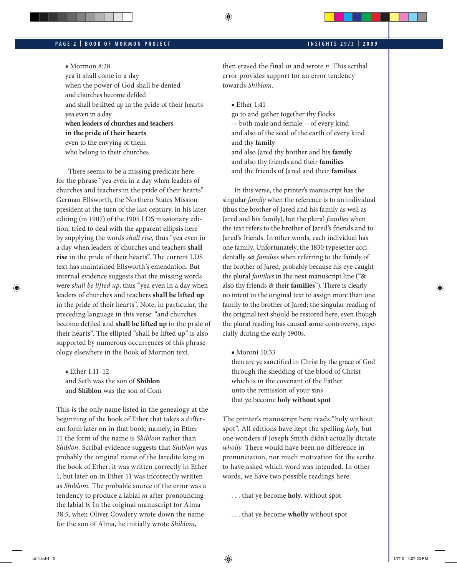# **INSIGHTS 29/3 | PAGE 2 | BOOK OF MORMON PROJECT 2009**

■ Mormon 8:28

yea it shall come in a day when the power of God shall be denied and churches become defiled and shall be lifted up in the pride of their hearts yea even in a day **when leaders of churches and teachers in the pride of their hearts** even to the envying of them who belong to their churches

There seems to be a missing predicate here for the phrase "yea even in a day when leaders of churches and teachers in the pride of their hearts". German Ellsworth, the Northern States Mission president at the turn of the last century, in his later editing (in 1907) of the 1905 LDS missionary edition, tried to deal with the apparent ellipsis here by supplying the words *shall rise*, thus "yea even in a day when leaders of churches and teachers **shall rise** in the pride of their hearts". The current LDS text has maintained Ellsworth's emendation. But internal evidence suggests that the missing words were *shall be lifted up*, thus "yea even in a day when leaders of churches and teachers **shall be lifted up** in the pride of their hearts". Note, in particular, the preceding language in this verse: "and churches become defiled and **shall be lifted up** in the pride of their hearts". The ellipted "shall be lifted up" is also supported by numerous occurrences of this phraseology elsewhere in the Book of Mormon text.

■ Ether 1:11–12 and Seth was the son of **Shiblon** and **Shiblon** was the son of Com

This is the only name listed in the genealogy at the beginning of the book of Ether that takes a different form later on in that book; namely, in Ether 11 the form of the name is *Shiblom* rather than *Shiblon.* Scribal evidence suggests that *Shiblon* was probably the original name of the Jaredite king in the book of Ether; it was written correctly in Ether 1, but later on in Ether 11 was incorrectly written as *Shiblom.* The probable source of the error was a tendency to produce a labial *m* after pronouncing the labial *b.* In the original manuscript for Alma 38:5, when Oliver Cowdery wrote down the name for the son of Alma, he initially wrote *Shiblom,* 

then erased the final *m* and wrote *n*. This scribal error provides support for an error tendency towards *Shiblom.*

■ Ether 1:41

⊕

go to and gather together thy flocks —both male and female—of every kind and also of the seed of the earth of every kind and thy **family** and also Jared thy brother and his **family** and also thy friends and their **families** and the friends of Jared and their **families**

In this verse, the printer's manuscript has the singular *family* when the reference is to an individual (thus the brother of Jared and his family as well as Jared and his family), but the plural *families* when the text refers to the brother of Jared's friends and to Jared's friends. In other words, each individual has one family. Unfortunately, the 1830 typesetter accidentally set *families* when referring to the family of the brother of Jared, probably because his eye caught the plural *families* in the next manuscript line ("& also thy friends & their **families**"). There is clearly no intent in the original text to assign more than one family to the brother of Jared; the singular reading of the original text should be restored here, even though the plural reading has caused some controversy, especially during the early 1900s.

■ Moroni 10:33

then are ye sanctified in Christ by the grace of God through the shedding of the blood of Christ which is in the covenant of the Father unto the remission of your sins that ye become **holy without spot**

The printer's manuscript here reads "holy without spot". All editions have kept the spelling *holy,* but one wonders if Joseph Smith didn't actually dictate *wholly.* There would have been no difference in pronunciation, nor much motivation for the scribe to have asked which word was intended. In other words, we have two possible readings here:

- . . . that ye become **holy**, without spot
- . . . that ye become **wholly** without spot

⊕